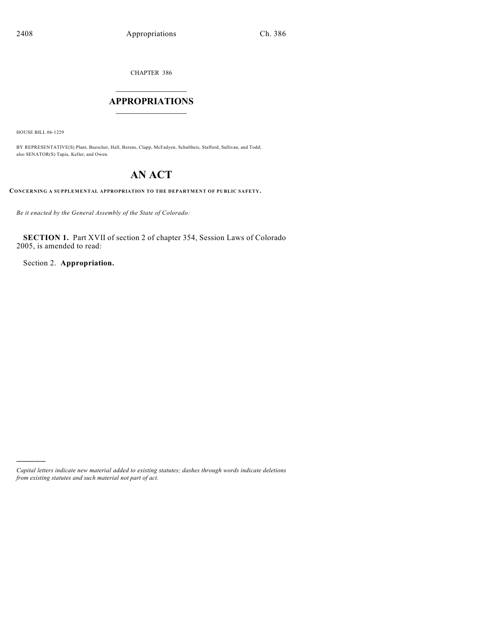CHAPTER 386

# $\overline{\phantom{a}}$  . The set of the set of the set of the set of the set of the set of the set of the set of the set of the set of the set of the set of the set of the set of the set of the set of the set of the set of the set o **APPROPRIATIONS**  $\_$   $\_$   $\_$   $\_$   $\_$   $\_$   $\_$   $\_$

HOUSE BILL 06-1229

)))))

BY REPRESENTATIVE(S) Plant, Buescher, Hall, Berens, Clapp, McFadyen, Schultheis, Stafford, Sullivan, and Todd; also SENATOR(S) Tapia, Keller, and Owen.

# **AN ACT**

**CONCERNING A SUPPLEMENTAL APPROPRIATION TO THE DEPARTMENT OF PUBLIC SAFETY.**

*Be it enacted by the General Assembly of the State of Colorado:*

**SECTION 1.** Part XVII of section 2 of chapter 354, Session Laws of Colorado 2005, is amended to read:

Section 2. **Appropriation.**

*Capital letters indicate new material added to existing statutes; dashes through words indicate deletions from existing statutes and such material not part of act.*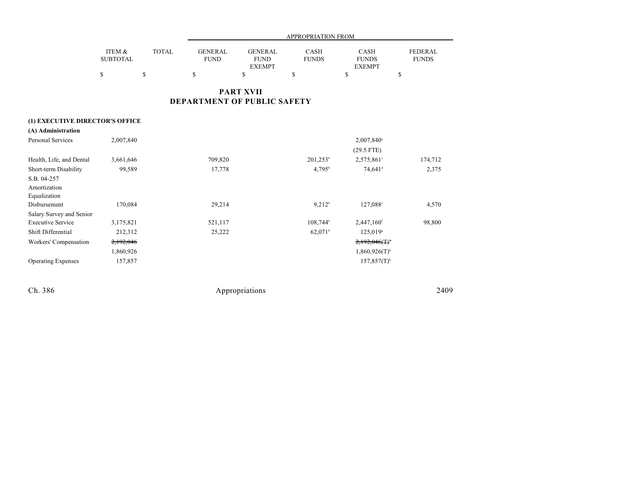|                                 |                                 |                              |                                     |                                                      | APPROPRIATION FROM                |                                                             |                                      |
|---------------------------------|---------------------------------|------------------------------|-------------------------------------|------------------------------------------------------|-----------------------------------|-------------------------------------------------------------|--------------------------------------|
|                                 | ITEM &<br><b>SUBTOTAL</b><br>\$ | <b>TOTAL</b><br>$\mathbb{S}$ | <b>GENERAL</b><br><b>FUND</b><br>\$ | <b>GENERAL</b><br><b>FUND</b><br><b>EXEMPT</b><br>\$ | <b>CASH</b><br><b>FUNDS</b><br>\$ | <b>CASH</b><br><b>FUNDS</b><br><b>EXEMPT</b><br>$\mathbf S$ | <b>FEDERAL</b><br><b>FUNDS</b><br>\$ |
|                                 |                                 |                              | DEPARTMENT OF PUBLIC SAFETY         | <b>PART XVII</b>                                     |                                   |                                                             |                                      |
| (1) EXECUTIVE DIRECTOR'S OFFICE |                                 |                              |                                     |                                                      |                                   |                                                             |                                      |
| (A) Administration              |                                 |                              |                                     |                                                      |                                   |                                                             |                                      |
| <b>Personal Services</b>        | 2,007,840                       |                              |                                     |                                                      |                                   | 2,007,840 <sup>a</sup>                                      |                                      |
|                                 |                                 |                              |                                     |                                                      |                                   | $(29.5$ FTE)                                                |                                      |
| Health, Life, and Dental        | 3,661,646                       |                              | 709,820                             |                                                      | $201,253^b$                       | 2,575,861 <sup>c</sup>                                      | 174,712                              |
| Short-term Disability           | 99,589                          |                              | 17,778                              |                                                      | $4,795^{\rm b}$                   | 74,641 <sup>d</sup>                                         | 2,375                                |
| S.B. 04-257                     |                                 |                              |                                     |                                                      |                                   |                                                             |                                      |
| Amortization                    |                                 |                              |                                     |                                                      |                                   |                                                             |                                      |
| Equalization<br>Disbursement    | 170,084                         |                              | 29,214                              |                                                      | 9.212 <sup>b</sup>                | 127,088 <sup>e</sup>                                        | 4,570                                |
| Salary Survey and Senior        |                                 |                              |                                     |                                                      |                                   |                                                             |                                      |
| <b>Executive Service</b>        | 3,175,821                       |                              | 521,117                             |                                                      | 108,744 <sup>b</sup>              | 2,447,160 <sup>f</sup>                                      | 98,800                               |
| Shift Differential              | 212,312                         |                              | 25,222                              |                                                      | 62,071 <sup>b</sup>               | 125,019 <sup>s</sup>                                        |                                      |
| Workers' Compensation           | 2,192,046                       |                              |                                     |                                                      |                                   | $2,192,046($ T) <sup>*</sup>                                |                                      |
|                                 | 1,860,926                       |                              |                                     |                                                      |                                   | $1,860,926(T)$ <sup>h</sup>                                 |                                      |
| <b>Operating Expenses</b>       | 157,857                         |                              |                                     |                                                      |                                   | $157,857(T)$ <sup>h</sup>                                   |                                      |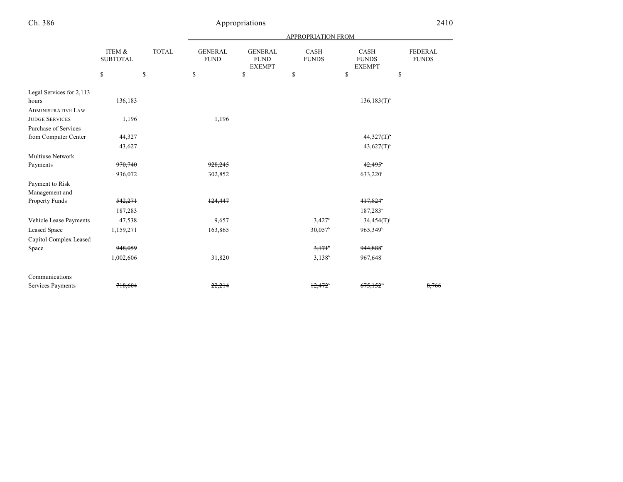|                           |                           |              | <b>APPROPRIATION FROM</b>     |                                                |                      |                                       |                                |  |
|---------------------------|---------------------------|--------------|-------------------------------|------------------------------------------------|----------------------|---------------------------------------|--------------------------------|--|
|                           | ITEM &<br><b>SUBTOTAL</b> | <b>TOTAL</b> | <b>GENERAL</b><br><b>FUND</b> | <b>GENERAL</b><br><b>FUND</b><br><b>EXEMPT</b> | CASH<br><b>FUNDS</b> | CASH<br><b>FUNDS</b><br><b>EXEMPT</b> | <b>FEDERAL</b><br><b>FUNDS</b> |  |
|                           | \$                        | \$           | \$                            | \$                                             | \$                   | \$                                    | \$                             |  |
| Legal Services for 2,113  |                           |              |                               |                                                |                      |                                       |                                |  |
| hours                     | 136,183                   |              |                               |                                                |                      | $136, 183(T)$ <sup>h</sup>            |                                |  |
| <b>ADMINISTRATIVE LAW</b> |                           |              |                               |                                                |                      |                                       |                                |  |
| <b>JUDGE SERVICES</b>     | 1,196                     |              | 1,196                         |                                                |                      |                                       |                                |  |
| Purchase of Services      |                           |              |                               |                                                |                      |                                       |                                |  |
| from Computer Center      | 44,327                    |              |                               |                                                |                      | $44,327($ T) <sup>*</sup>             |                                |  |
|                           | 43,627                    |              |                               |                                                |                      | $43,627(T)$ <sup>h</sup>              |                                |  |
| <b>Multiuse Network</b>   |                           |              |                               |                                                |                      |                                       |                                |  |
| Payments                  | 970,740                   |              | 928,245                       |                                                |                      | 42,495                                |                                |  |
|                           | 936,072                   |              | 302,852                       |                                                |                      | 633,220 <sup>i</sup>                  |                                |  |
| Payment to Risk           |                           |              |                               |                                                |                      |                                       |                                |  |
| Management and            |                           |              |                               |                                                |                      |                                       |                                |  |
| Property Funds            | 542,271                   |              | 124,447                       |                                                |                      | 417,824                               |                                |  |
|                           | 187,283                   |              |                               |                                                |                      | $187,283$ <sup>a</sup>                |                                |  |
| Vehicle Lease Payments    | 47,538                    |              | 9,657                         |                                                | 3.427 <sup>b</sup>   | $34,454(T)^{j}$                       |                                |  |
| Leased Space              | 1,159,271                 |              | 163,865                       |                                                | 30,057 <sup>b</sup>  | 965,349 <sup>k</sup>                  |                                |  |
| Capitol Complex Leased    |                           |              |                               |                                                |                      |                                       |                                |  |
| Space                     | 948.059                   |              |                               |                                                | $3,171$ <sup>b</sup> | 944,888                               |                                |  |
|                           | 1,002,606                 |              | 31,820                        |                                                | $3,138^b$            | 967,648                               |                                |  |
| Communications            |                           |              |                               |                                                |                      |                                       |                                |  |
| Services Payments         | 718,604                   |              | 22,214                        |                                                | 12,472               | <del>675.152</del>                    | 8,766                          |  |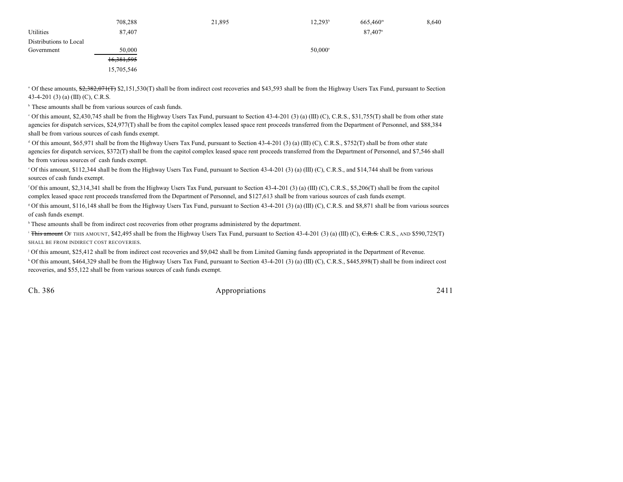|                        | 708,288      | 21,895 | $12,293^{\rm b}$ | $665,460^{\rm m}$     | 8,640 |
|------------------------|--------------|--------|------------------|-----------------------|-------|
| Utilities              | 87,407       |        |                  | $87,407$ <sup>n</sup> |       |
| Distributions to Local |              |        |                  |                       |       |
| Government             | 50,000       |        | 50,000°          |                       |       |
|                        | 16, 381, 595 |        |                  |                       |       |
|                        | 15,705,546   |        |                  |                       |       |

<sup>a</sup> Of these amounts, \$2,382,071(T) \$2,151,530(T) shall be from indirect cost recoveries and \$43,593 shall be from the Highway Users Tax Fund, pursuant to Section 43-4-201 (3) (a) (III) (C), C.R.S.

 $\overline{b}$ . These amounts shall be from various sources of cash funds.

 $^{\circ}$  Of this amount, \$2,430,745 shall be from the Highway Users Tax Fund, pursuant to Section 43-4-201 (3) (a) (III) (C), C.R.S., \$31,755(T) shall be from other state agencies for dispatch services, \$24,977(T) shall be from the capitol complex leased space rent proceeds transferred from the Department of Personnel, and \$88,384 shall be from various sources of cash funds exempt.

 $\alpha$  Of this amount, \$65,971 shall be from the Highway Users Tax Fund, pursuant to Section 43-4-201 (3) (a) (III) (C), C.R.S., \$752(T) shall be from other state agencies for dispatch services, \$372(T) shall be from the capitol complex leased space rent proceeds transferred from the Department of Personnel, and \$7,546 shall be from various sources of cash funds exempt.

 $\degree$ Of this amount, \$112,344 shall be from the Highway Users Tax Fund, pursuant to Section 43-4-201 (3) (a) (III) (C), C.R.S., and \$14,744 shall be from various sources of cash funds exempt.

 $\rm{^6}$ Of this amount, \$2,314,341 shall be from the Highway Users Tax Fund, pursuant to Section 43-4-201 (3) (a) (III) (C), C.R.S., \$5,206(T) shall be from the capitol complex leased space rent proceeds transferred from the Department of Personnel, and \$127,613 shall be from various sources of cash funds exempt.

Of this amount, \$116,148 shall be from the Highway Users Tax Fund, pursuant to Section 43-4-201 (3) (a) (III) (C), C.R.S. and \$8,871 shall be from various sources <sup>g</sup> of cash funds exempt.

<sup>h</sup> These amounts shall be from indirect cost recoveries from other programs administered by the department.

<sup>1</sup> This amount OF THIS AMOUNT, \$42,495 shall be from the Highway Users Tax Fund, pursuant to Section 43-4-201 (3) (a) (III) (C), <del>C.R.S.</del> C.R.S., AND \$590,725(T) SHALL BE FROM INDIRECT COST RECOVERIES.

Of this amount, \$25,412 shall be from indirect cost recoveries and \$9,042 shall be from Limited Gaming funds appropriated in the Department of Revenue. <sup>j</sup>

<sup>k</sup> Of this amount, \$464,329 shall be from the Highway Users Tax Fund, pursuant to Section 43-4-201 (3) (a) (III) (C), C.R.S., \$445,898(T) shall be from indirect cost recoveries, and \$55,122 shall be from various sources of cash funds exempt.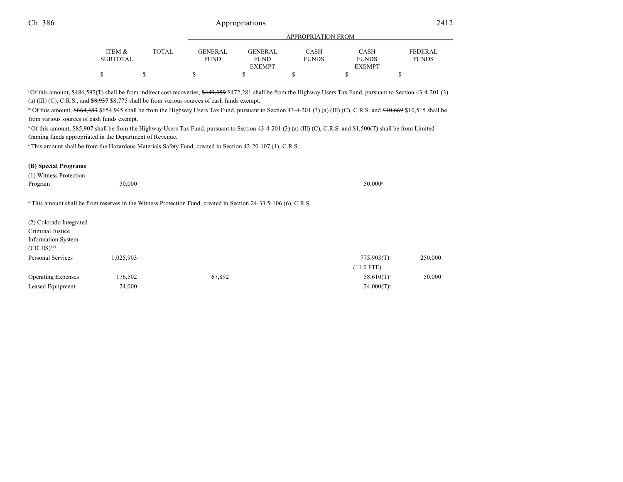|                 |        |                 | APPROPRIATION FROM |              |               |                |  |
|-----------------|--------|-----------------|--------------------|--------------|---------------|----------------|--|
|                 |        |                 |                    |              |               |                |  |
| ITEM &          | TOTAL. | <b>GENER AL</b> | <b>GENER AL</b>    | CASH         | <b>CASH</b>   | <b>FEDERAL</b> |  |
| <b>SUBTOTAL</b> |        | FUND            | <b>FUND</b>        | <b>FUNDS</b> | <b>FUNDS</b>  | <b>FUNDS</b>   |  |
|                 |        |                 | <b>EXEMPT</b>      |              | <b>EXEMPT</b> |                |  |
| \$              |        |                 |                    |              |               |                |  |

<sup>1</sup>Of this amount, \$486,592(T) shall be from indirect cost recoveries, \$449,359 \$472,281 shall be from the Highway Users Tax Fund, pursuant to Section 43-4-201 (3) (a) (III) (C), C.R.S., and  $$8,937$  \$8,775 shall be from various sources of cash funds exempt.

<sup>™</sup> Of this amount, <del>\$664,483</del> \$654,945 shall be from the Highway Users Tax Fund, pursuant to Section 43-4-201 (3) (a) (III) (C), C.R.S. and <del>\$10,669</del> \$10,515 shall be from various sources of cash funds exempt.

<sup>n</sup> Of this amount, \$85,907 shall be from the Highway Users Tax Fund, pursuant to Section 43-4-201 (3) (a) (III) (C), C.R.S. and \$1,500(T) shall be from Limited Gaming funds appropriated in the Department of Revenue.

This amount shall be from the Hazardous Materials Safety Fund, created in Section 42-20-107 (1), C.R.S.

#### **(B) Special Programs**

Information System

| (1) Witness Protection  |                                                                                                                            |                  |
|-------------------------|----------------------------------------------------------------------------------------------------------------------------|------------------|
| Program                 | 50,000                                                                                                                     | $50.000^{\circ}$ |
|                         |                                                                                                                            |                  |
|                         | <sup>a</sup> This amount shall be from reserves in the Witness Protection Fund, created in Section 24-33.5-106 (6), C.R.S. |                  |
|                         |                                                                                                                            |                  |
| (2) Colorado Integrated |                                                                                                                            |                  |
|                         |                                                                                                                            |                  |
| Criminal Justice        |                                                                                                                            |                  |

| $(CICJIS)^{124}$          |           |        |                  |         |
|---------------------------|-----------|--------|------------------|---------|
| Personal Services         | 1.025.903 |        | $775,903(T)^{a}$ | 250,000 |
|                           |           |        | $(11.0$ FTE)     |         |
| <b>Operating Expenses</b> | 176,502   | 67,892 | $58,610(T)^{3}$  | 50,000  |
| Leased Equipment          | 24,000    |        | $24,000(T)^{a}$  |         |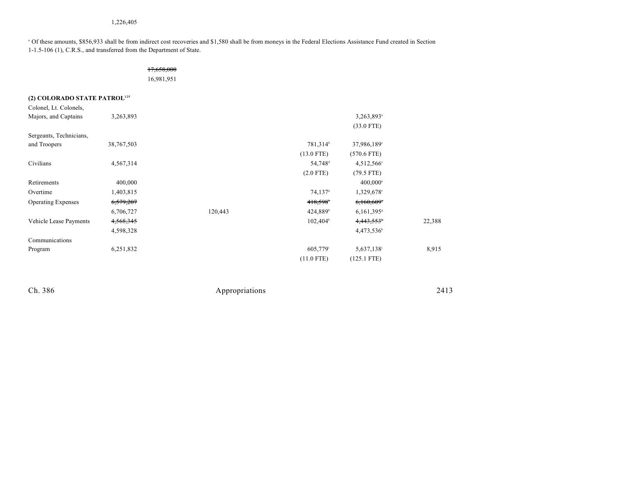#### 1,226,405

 Of these amounts, \$856,933 shall be from indirect cost recoveries and \$1,580 shall be from moneys in the Federal Elections Assistance Fund created in Section <sup>a</sup> 1-1.5-106 (1), C.R.S., and transferred from the Department of State.

### 17,658,000

16,981,951

### **(2) COLORADO STATE PATROL<sup>125</sup>**

| Colonel, Lt. Colonels,    |            |         |                       |                          |        |
|---------------------------|------------|---------|-----------------------|--------------------------|--------|
| Majors, and Captains      | 3,263,893  |         |                       | 3,263,893 <sup>a</sup>   |        |
|                           |            |         |                       | $(33.0$ FTE)             |        |
| Sergeants, Technicians,   |            |         |                       |                          |        |
| and Troopers              | 38,767,503 |         | 781,314 <sup>b</sup>  | 37,986,189°              |        |
|                           |            |         | $(13.0$ FTE)          | $(570.6$ FTE)            |        |
| Civilians                 | 4,567,314  |         | 54,748 <sup>d</sup>   | $4,512,566$ <sup>e</sup> |        |
|                           |            |         | $(2.0$ FTE)           | $(79.5$ FTE)             |        |
| Retirements               | 400,000    |         |                       | $400,000$ <sup>a</sup>   |        |
| Overtime                  | 1,403,815  |         | $74,137$ <sup>b</sup> | 1,329,678f               |        |
| <b>Operating Expenses</b> | 6,579,207  |         | 418,598               | 6,160,609                |        |
|                           | 6,706,727  | 120,443 | 424,889 <sup>b</sup>  | 6,161,395                |        |
| Vehicle Lease Payments    | 4,568,345  |         | $102,404^{\circ}$     | 4,443,553 <sup>h</sup>   | 22,388 |
|                           | 4,598,328  |         |                       | 4,473,536h               |        |
| Communications            |            |         |                       |                          |        |
| Program                   | 6,251,832  |         | 605,779 <sup>i</sup>  | 5,637,138                | 8,915  |
|                           |            |         | $(11.0$ FTE)          | $(125.1$ FTE)            |        |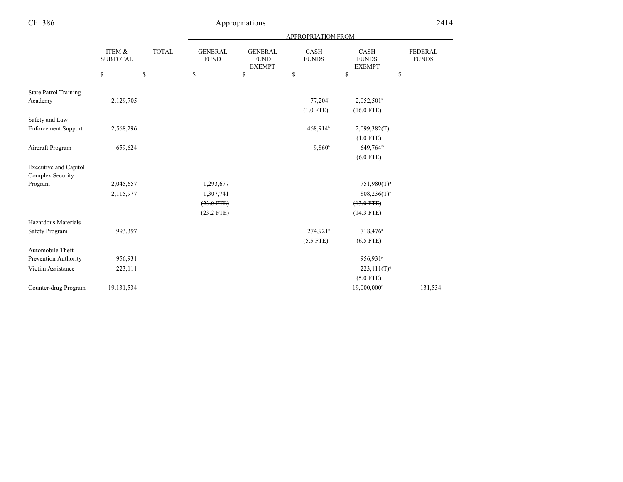|                                              |                              |              |                               |                                                | <b>APPROPRIATION FROM</b> |                                       |                                |
|----------------------------------------------|------------------------------|--------------|-------------------------------|------------------------------------------------|---------------------------|---------------------------------------|--------------------------------|
|                                              | ITEM $\&$<br><b>SUBTOTAL</b> | <b>TOTAL</b> | <b>GENERAL</b><br><b>FUND</b> | <b>GENERAL</b><br><b>FUND</b><br><b>EXEMPT</b> | CASH<br><b>FUNDS</b>      | CASH<br><b>FUNDS</b><br><b>EXEMPT</b> | <b>FEDERAL</b><br><b>FUNDS</b> |
|                                              | \$                           | \$           | \$                            | \$                                             | \$                        | \$                                    | \$                             |
| <b>State Patrol Training</b><br>Academy      | 2,129,705                    |              |                               |                                                | 77,204 <sup>i</sup>       | $2,052,501^k$                         |                                |
|                                              |                              |              |                               |                                                | $(1.0$ FTE)               | $(16.0$ FTE)                          |                                |
|                                              |                              |              |                               |                                                |                           |                                       |                                |
| Safety and Law<br><b>Enforcement Support</b> | 2,568,296                    |              |                               |                                                | 468,914 <sup>b</sup>      | $2,099,382(T)^1$                      |                                |
|                                              |                              |              |                               |                                                |                           | $(1.0$ FTE)                           |                                |
| Aircraft Program                             | 659,624                      |              |                               |                                                | $9,860^{\circ}$           | 649,764m                              |                                |
|                                              |                              |              |                               |                                                |                           | $(6.0$ FTE)                           |                                |
| <b>Executive and Capitol</b>                 |                              |              |                               |                                                |                           |                                       |                                |
| <b>Complex Security</b>                      |                              |              |                               |                                                |                           |                                       |                                |
| Program                                      | 2,045,657                    |              | 1,293,677                     |                                                |                           | 751,980(T)                            |                                |
|                                              | 2,115,977                    |              | 1,307,741                     |                                                |                           | $808,236(T)^n$                        |                                |
|                                              |                              |              | $(23.0$ FTE)                  |                                                |                           | $(13.0$ FTE $)$                       |                                |
|                                              |                              |              | $(23.2$ FTE)                  |                                                |                           | $(14.3$ FTE)                          |                                |
| Hazardous Materials                          |                              |              |                               |                                                |                           |                                       |                                |
| Safety Program                               | 993,397                      |              |                               |                                                | 274,921°                  | 718,476 <sup>a</sup>                  |                                |
|                                              |                              |              |                               |                                                | $(5.5$ FTE)               | $(6.5$ FTE)                           |                                |
| Automobile Theft                             |                              |              |                               |                                                |                           |                                       |                                |
| Prevention Authority                         | 956,931                      |              |                               |                                                |                           | 956,931 <sup>P</sup>                  |                                |
| Victim Assistance                            | 223,111                      |              |                               |                                                |                           | $223,111(T)^9$                        |                                |
|                                              |                              |              |                               |                                                |                           | $(5.0$ FTE)                           |                                |
| Counter-drug Program                         | 19,131,534                   |              |                               |                                                |                           | 19,000,000 <sup>r</sup>               | 131,534                        |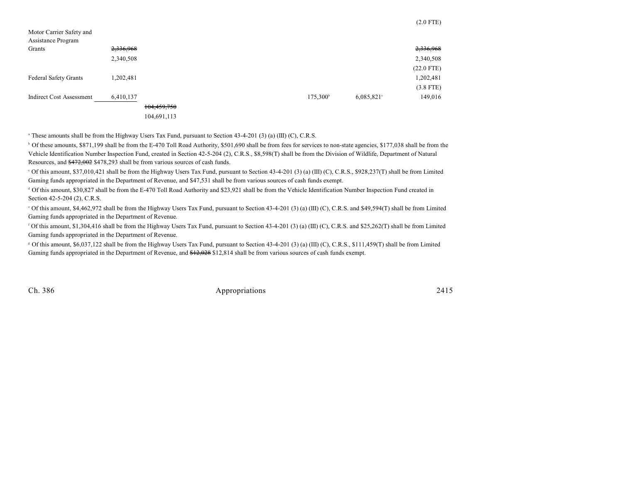| Motor Carrier Safety and     |           |             |  |                      |           |              |
|------------------------------|-----------|-------------|--|----------------------|-----------|--------------|
| Assistance Program           |           |             |  |                      |           |              |
| Grants                       | 2,336,968 |             |  |                      |           | 2,336,968    |
|                              | 2,340,508 |             |  |                      |           | 2,340,508    |
|                              |           |             |  |                      |           | $(22.0$ FTE) |
| <b>Federal Safety Grants</b> | 1,202,481 |             |  |                      |           | 1,202,481    |
|                              |           |             |  |                      |           | $(3.8$ FTE)  |
| Indirect Cost Assessment     | 6,410,137 |             |  | 175,300 <sup>b</sup> | 6,085,821 | 149,016      |
|                              |           | 104,459,750 |  |                      |           |              |

104,691,113

<sup>a</sup> These amounts shall be from the Highway Users Tax Fund, pursuant to Section 43-4-201 (3) (a) (III) (C), C.R.S.

<sup>b</sup> Of these amounts, \$871,199 shall be from the E-470 Toll Road Authority, \$501,690 shall be from fees for services to non-state agencies, \$177,038 shall be from the Vehicle Identification Number Inspection Fund, created in Section 42-5-204 (2), C.R.S., \$8,598(T) shall be from the Division of Wildlife, Department of Natural Resources, and \$472,002 \$478,293 shall be from various sources of cash funds.

 Of this amount, \$37,010,421 shall be from the Highway Users Tax Fund, pursuant to Section 43-4-201 (3) (a) (III) (C), C.R.S., \$928,237(T) shall be from Limited <sup>c</sup> Gaming funds appropriated in the Department of Revenue, and \$47,531 shall be from various sources of cash funds exempt.

 $\textdegree$  Of this amount, \$30,827 shall be from the E-470 Toll Road Authority and \$23,921 shall be from the Vehicle Identification Number Inspection Fund created in Section 42-5-204 (2), C.R.S.

 Of this amount, \$4,462,972 shall be from the Highway Users Tax Fund, pursuant to Section 43-4-201 (3) (a) (III) (C), C.R.S. and \$49,594(T) shall be from Limited <sup>e</sup> Gaming funds appropriated in the Department of Revenue.

<sup>f</sup> Of this amount, \$1,304,416 shall be from the Highway Users Tax Fund, pursuant to Section 43-4-201 (3) (a) (III) (C), C.R.S. and \$25,262(T) shall be from Limited Gaming funds appropriated in the Department of Revenue.

 Of this amount, \$6,037,122 shall be from the Highway Users Tax Fund, pursuant to Section 43-4-201 (3) (a) (III) (C), C.R.S., \$111,459(T) shall be from Limited <sup>g</sup> Gaming funds appropriated in the Department of Revenue, and \$12,028 \$12,814 shall be from various sources of cash funds exempt.

Ch. 386 Appropriations 2415

(2.0 FTE)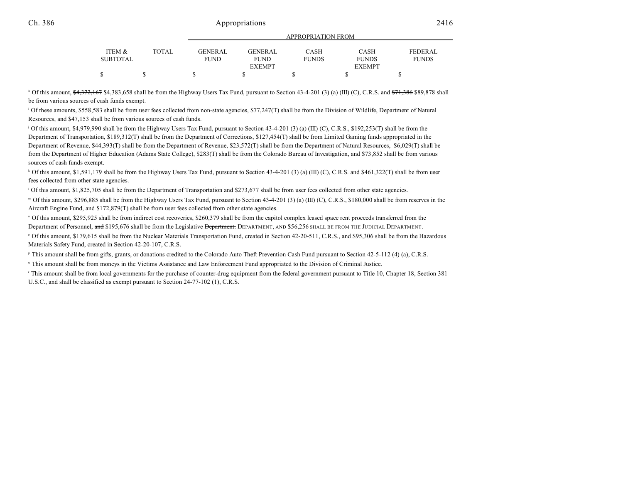| ITEM &   | <b>TOTAL</b> | GENERAL     | GENERAL       | CASH         | CASH          | <b>FEDERAL</b> |
|----------|--------------|-------------|---------------|--------------|---------------|----------------|
| SUBTOTAL |              | <b>FUND</b> | <b>FUND</b>   | <b>FUNDS</b> | <b>FUNDS</b>  | <b>FUNDS</b>   |
|          |              |             | <b>EXEMPT</b> |              | <b>EXEMPT</b> |                |
|          |              |             |               |              |               |                |
|          |              |             |               |              |               |                |

APPROPRIATION FROM

<sup>h</sup> Of this amount,  $\frac{64,372,167}{2}$  \$4,383,658 shall be from the Highway Users Tax Fund, pursuant to Section 43-4-201 (3) (a) (III) (C), C.R.S. and  $\frac{671,386}{2}$  \$89,878 shall be from various sources of cash funds exempt.

<sup>1</sup> Of these amounts, \$558,583 shall be from user fees collected from non-state agencies, \$77,247(T) shall be from the Division of Wildlife, Department of Natural Resources, and \$47,153 shall be from various sources of cash funds.

Of this amount, \$4,979,990 shall be from the Highway Users Tax Fund, pursuant to Section 43-4-201 (3) (a) (III) (C), C.R.S., \$192,253(T) shall be from the Department of Transportation, \$189,312(T) shall be from the Department of Corrections, \$127,454(T) shall be from Limited Gaming funds appropriated in the Department of Revenue, \$44,393(T) shall be from the Department of Revenue, \$23,572(T) shall be from the Department of Natural Resources, \$6,029(T) shall be from the Department of Higher Education (Adams State College), \$283(T) shall be from the Colorado Bureau of Investigation, and \$73,852 shall be from various sources of cash funds exempt.

<sup>k</sup> Of this amount, \$1,591,179 shall be from the Highway Users Tax Fund, pursuant to Section 43-4-201 (3) (a) (III) (C), C.R.S. and \$461,322(T) shall be from user fees collected from other state agencies.

 $\degree$  Of this amount, \$1,825,705 shall be from the Department of Transportation and \$273,677 shall be from user fees collected from other state agencies.

 $^{\text{m}}$  Of this amount, \$296,885 shall be from the Highway Users Tax Fund, pursuant to Section 43-4-201 (3) (a) (III) (C), C.R.S., \$180,000 shall be from reserves in the Aircraft Engine Fund, and \$172,879(T) shall be from user fees collected from other state agencies.

<sup>n</sup> Of this amount, \$295,925 shall be from indirect cost recoveries, \$260,379 shall be from the capitol complex leased space rent proceeds transferred from the Department of Personnel, and \$195,676 shall be from the Legislative Department. DEPARTMENT, AND \$56,256 SHALL BE FROM THE JUDICIAL DEPARTMENT.

 Of this amount, \$179,615 shall be from the Nuclear Materials Transportation Fund, created in Section 42-20-511, C.R.S., and \$95,306 shall be from the Hazardous <sup>o</sup> Materials Safety Fund, created in Section 42-20-107, C.R.S.

<sup>P</sup> This amount shall be from gifts, grants, or donations credited to the Colorado Auto Theft Prevention Cash Fund pursuant to Section 42-5-112 (4) (a), C.R.S.

This amount shall be from moneys in the Victims Assistance and Law Enforcement Fund appropriated to the Division of Criminal Justice. <sup>q</sup>

This amount shall be from local governments for the purchase of counter-drug equipment from the federal government pursuant to Title 10, Chapter 18, Section 381 U.S.C., and shall be classified as exempt pursuant to Section 24-77-102 (1), C.R.S.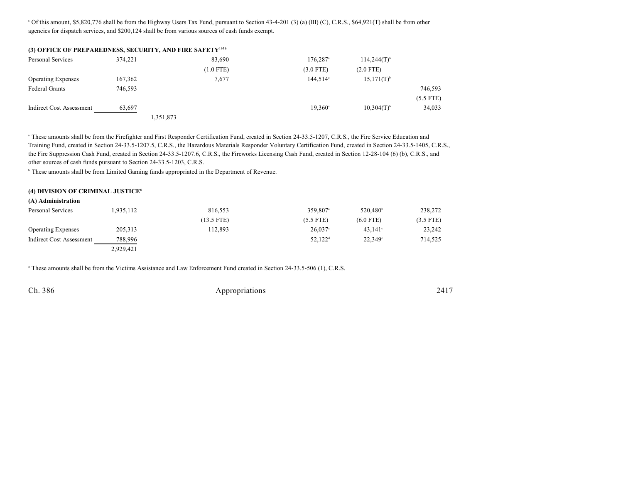Of this amount, \$5,820,776 shall be from the Highway Users Tax Fund, pursuant to Section 43-4-201 (3) (a) (III) (C), C.R.S., \$64,921(T) shall be from other <sup>s</sup> agencies for dispatch services, and \$200,124 shall be from various sources of cash funds exempt.

| (3) OFFICE OF PREPAREDNESS, SECURITY, AND FIRE SAFETY <sup>103b</sup> |         |           |             |                        |                          |             |
|-----------------------------------------------------------------------|---------|-----------|-------------|------------------------|--------------------------|-------------|
| Personal Services                                                     | 374.221 |           | 83,690      | $176,287$ <sup>a</sup> | $114,244(T)^{b}$         |             |
|                                                                       |         |           | $(1.0$ FTE) | $(3.0$ FTE)            | $(2.0$ FTE)              |             |
| <b>Operating Expenses</b>                                             | 167,362 |           | 7,677       | 144,514 <sup>a</sup>   | $15,171(T)^{b}$          |             |
| <b>Federal Grants</b>                                                 | 746.593 |           |             |                        |                          | 746,593     |
|                                                                       |         |           |             |                        |                          | $(5.5$ FTE) |
| Indirect Cost Assessment                                              | 63,697  |           |             | $19.360^{\circ}$       | $10,304(T)$ <sup>b</sup> | 34,033      |
|                                                                       |         | 1,351,873 |             |                        |                          |             |

<sup>a</sup> These amounts shall be from the Firefighter and First Responder Certification Fund, created in Section 24-33.5-1207, C.R.S., the Fire Service Education and Training Fund, created in Section 24-33.5-1207.5, C.R.S., the Hazardous Materials Responder Voluntary Certification Fund, created in Section 24-33.5-1405, C.R.S., the Fire Suppression Cash Fund, created in Section 24-33.5-1207.6, C.R.S., the Fireworks Licensing Cash Fund, created in Section 12-28-104 (6) (b), C.R.S., and other sources of cash funds pursuant to Section 24-33.5-1203, C.R.S.

<sup>b</sup> These amounts shall be from Limited Gaming funds appropriated in the Department of Revenue.

#### **(4) DIVISION OF CRIMINAL JUSTICE<sup>6</sup>**

| (A) Administration        |           |              |                       |                      |             |
|---------------------------|-----------|--------------|-----------------------|----------------------|-------------|
| Personal Services         | 1,935,112 | 816,553      | 359.807 <sup>a</sup>  | 520.480 <sup>b</sup> | 238,272     |
|                           |           | $(13.5$ FTE) | $(5.5$ FTE)           | $(6.0$ FTE)          | $(3.5$ FTE) |
| <b>Operating Expenses</b> | 205,313   | 112,893      | $26.037$ <sup>a</sup> | $43.141^{\circ}$     | 23,242      |
| Indirect Cost Assessment  | 788,996   |              | $52.122^{\rm d}$      | 22.349°              | 714,525     |
|                           | 2,929,421 |              |                       |                      |             |

<sup>a</sup> These amounts shall be from the Victims Assistance and Law Enforcement Fund created in Section 24-33.5-506 (1), C.R.S.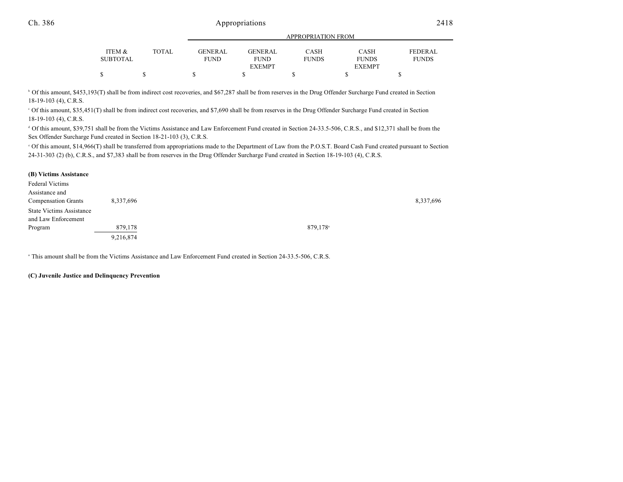|                 |              |             | <b>APPROPRIATION FROM</b> |              |               |                |  |
|-----------------|--------------|-------------|---------------------------|--------------|---------------|----------------|--|
|                 |              |             |                           |              |               |                |  |
| ITEM &          | <b>TOTAL</b> | GENERAL     | <b>GENERAL</b>            | CASH         | <b>CASH</b>   | <b>FEDERAL</b> |  |
| <b>SUBTOTAL</b> |              | <b>FUND</b> | <b>FUND</b>               | <b>FUNDS</b> | <b>FUNDS</b>  | <b>FUNDS</b>   |  |
|                 |              |             | <b>EXEMPT</b>             |              | <b>EXEMPT</b> |                |  |
| \$              |              | J.          |                           |              |               |                |  |

<sup>b</sup> Of this amount, \$453,193(T) shall be from indirect cost recoveries, and \$67,287 shall be from reserves in the Drug Offender Surcharge Fund created in Section 18-19-103 (4), C.R.S.

 Of this amount, \$35,451(T) shall be from indirect cost recoveries, and \$7,690 shall be from reserves in the Drug Offender Surcharge Fund created in Section <sup>c</sup> 18-19-103 (4), C.R.S.

<sup>d</sup> Of this amount, \$39,751 shall be from the Victims Assistance and Law Enforcement Fund created in Section 24-33.5-506, C.R.S., and \$12,371 shall be from the Sex Offender Surcharge Fund created in Section 18-21-103 (3), C.R.S.

 Of this amount, \$14,966(T) shall be transferred from appropriations made to the Department of Law from the P.O.S.T. Board Cash Fund created pursuant to Section <sup>e</sup> 24-31-303 (2) (b), C.R.S., and \$7,383 shall be from reserves in the Drug Offender Surcharge Fund created in Section 18-19-103 (4), C.R.S.

#### **(B) Victims Assistance**

| Federal Victims                 |           |                      |           |
|---------------------------------|-----------|----------------------|-----------|
| Assistance and                  |           |                      |           |
| <b>Compensation Grants</b>      | 8,337,696 |                      | 8,337,696 |
| <b>State Victims Assistance</b> |           |                      |           |
| and Law Enforcement             |           |                      |           |
| Program                         | 879,178   | 879.178 <sup>a</sup> |           |
|                                 | 9,216,874 |                      |           |

<sup>a</sup> This amount shall be from the Victims Assistance and Law Enforcement Fund created in Section 24-33.5-506, C.R.S.

#### **(C) Juvenile Justice and Delinquency Prevention**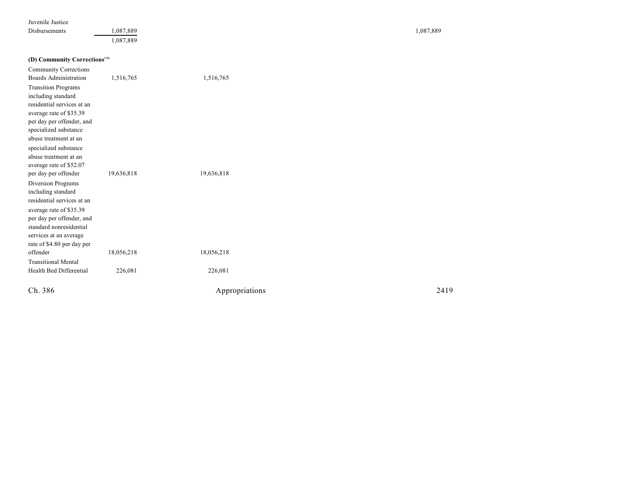| Juvenile Justice |  |
|------------------|--|
|------------------|--|

Disbur s ements 1,087,889 1,087,889 1,087,889 1,087,889 1,087,889 1,087,889 1,087,889 1,087,889 1,087,889 1,087,889 1,087,889 1,087,889

#### **(D) Com munity Corrections<sup>12</sup> 6**

| Ch. 386                                              |            | Appropriations | 2419 |
|------------------------------------------------------|------------|----------------|------|
| Health Bed Differential                              | 226,081    | 226,081        |      |
| <b>Transitional Mental</b>                           |            |                |      |
| offender                                             | 18,056,218 | 18,056,218     |      |
| rate of \$4.80 per day per                           |            |                |      |
| services at an average                               |            |                |      |
| standard nonresidential                              |            |                |      |
| average rate of \$35.39<br>per day per offender, and |            |                |      |
| residential services at an                           |            |                |      |
| including standard                                   |            |                |      |
| Diversion Programs                                   |            |                |      |
| per day per offender                                 | 19,636,818 | 19,636,818     |      |
| average rate of \$52.07                              |            |                |      |
| abuse treatment at an                                |            |                |      |
| specialized substance                                |            |                |      |
| abuse treatment at an                                |            |                |      |
| specialized substance                                |            |                |      |
| per day per offender, and                            |            |                |      |
| average rate of \$35.39                              |            |                |      |
| residential services at an                           |            |                |      |
| including standard                                   |            |                |      |
| <b>Transition Programs</b>                           |            |                |      |
| <b>Boards Administration</b>                         | 1,516,765  | 1,516,765      |      |
| <b>Community Corrections</b>                         |            |                |      |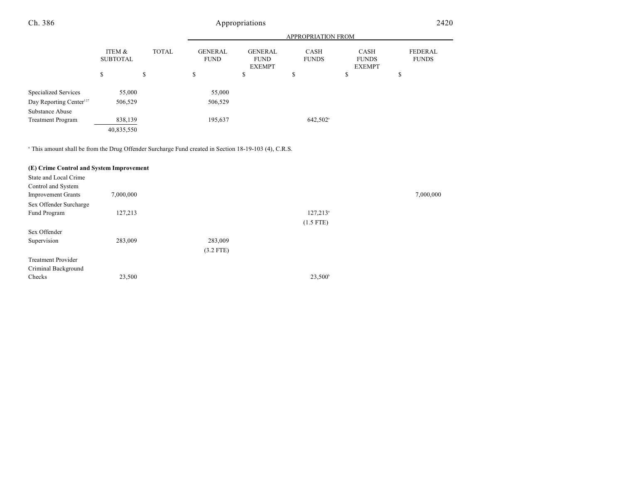|                                     |                           |              |                               |                                                | <b>APPROPRIATION FROM</b> |                                              |                         |
|-------------------------------------|---------------------------|--------------|-------------------------------|------------------------------------------------|---------------------------|----------------------------------------------|-------------------------|
|                                     | ITEM &<br><b>SUBTOTAL</b> | <b>TOTAL</b> | <b>GENERAL</b><br><b>FUND</b> | <b>GENERAL</b><br><b>FUND</b><br><b>EXEMPT</b> | CASH<br><b>FUNDS</b>      | <b>CASH</b><br><b>FUNDS</b><br><b>EXEMPT</b> | FEDERAL<br><b>FUNDS</b> |
|                                     | \$                        | \$           | ¢<br>D.                       | \$                                             | Φ<br>J                    | \$                                           | ¢<br>J.                 |
| Specialized Services                | 55,000                    |              | 55,000                        |                                                |                           |                                              |                         |
| Day Reporting Center <sup>127</sup> | 506,529                   |              | 506,529                       |                                                |                           |                                              |                         |
| Substance Abuse                     |                           |              |                               |                                                |                           |                                              |                         |
| <b>Treatment Program</b>            | 838,139                   |              | 195,637                       |                                                | 642,502 <sup>a</sup>      |                                              |                         |
|                                     | 40,835,550                |              |                               |                                                |                           |                                              |                         |

<sup>a</sup> This amount shall be from the Drug Offender Surcharge Fund created in Section 18-19-103 (4), C.R.S.

| (E) Crime Control and System Improvement |             |                   |           |
|------------------------------------------|-------------|-------------------|-----------|
|                                          |             |                   |           |
|                                          |             |                   |           |
| 7,000,000                                |             |                   | 7,000,000 |
|                                          |             |                   |           |
| 127,213                                  |             | $127,213^{\circ}$ |           |
|                                          |             | $(1.5$ FTE)       |           |
|                                          |             |                   |           |
| 283,009                                  | 283,009     |                   |           |
|                                          | $(3.2$ FTE) |                   |           |
|                                          |             |                   |           |
|                                          |             |                   |           |
| 23,500                                   |             | $23,500^{\circ}$  |           |
|                                          |             |                   |           |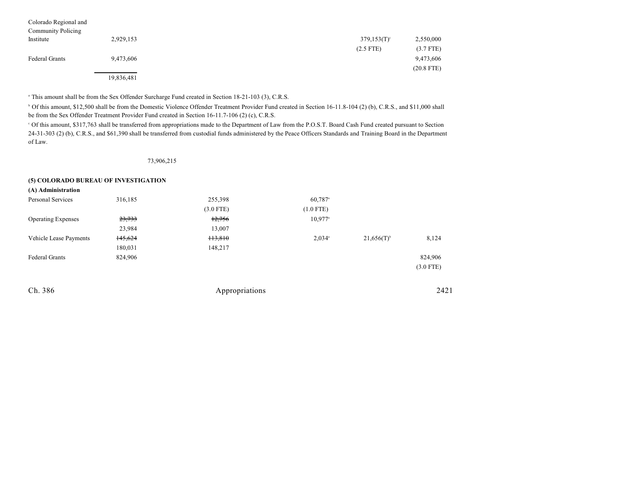| Colorado Regional and<br><b>Community Policing</b> |            |                |              |
|----------------------------------------------------|------------|----------------|--------------|
| Institute                                          | 2,929,153  | $379,153(T)$ ° | 2,550,000    |
|                                                    |            | $(2.5$ FTE)    | $(3.7$ FTE)  |
| <b>Federal Grants</b>                              | 9,473,606  |                | 9,473,606    |
|                                                    |            |                | $(20.8$ FTE) |
|                                                    | 19,836,481 |                |              |

<sup>a</sup> This amount shall be from the Sex Offender Surcharge Fund created in Section 18-21-103 (3), C.R.S.

 Of this amount, \$12,500 shall be from the Domestic Violence Offender Treatment Provider Fund created in Section 16-11.8-104 (2) (b), C.R.S., and \$11,000 shall <sup>b</sup> be from the Sex Offender Treatment Provider Fund created in Section 16-11.7-106 (2) (c), C.R.S.

 Of this amount, \$317,763 shall be transferred from appropriations made to the Department of Law from the P.O.S.T. Board Cash Fund created pursuant to Section <sup>c</sup> 24-31-303 (2) (b), C.R.S., and \$61,390 shall be transferred from custodial funds administered by the Peace Officers Standards and Training Board in the Department of Law.

73,906,215

#### **(5) COLORADO BUREAU OF INVESTIGATION**

| (A) Administration        |         |                |                       |                          |             |
|---------------------------|---------|----------------|-----------------------|--------------------------|-------------|
| <b>Personal Services</b>  | 316,185 | 255,398        | $60,787$ <sup>a</sup> |                          |             |
|                           |         | $(3.0$ FTE)    | $(1.0$ FTE)           |                          |             |
| <b>Operating Expenses</b> | 23,733  | 12,756         | $10,977$ <sup>a</sup> |                          |             |
|                           | 23,984  | 13,007         |                       |                          |             |
| Vehicle Lease Payments    | 145,624 | 113,810        | $2,034$ <sup>a</sup>  | $21,656(T)$ <sup>b</sup> | 8,124       |
|                           | 180,031 | 148,217        |                       |                          |             |
| <b>Federal Grants</b>     | 824,906 |                |                       |                          | 824,906     |
|                           |         |                |                       |                          | $(3.0$ FTE) |
| Ch. 386                   |         | Appropriations |                       |                          | 2421        |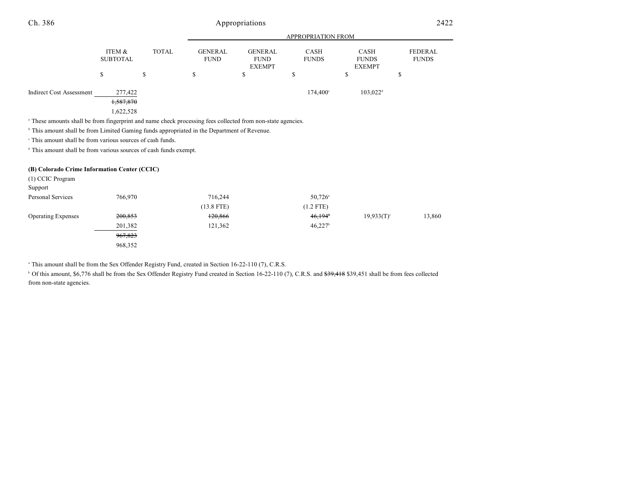|                                                                                                                        |                           |              | <b>APPROPRIATION FROM</b>     |                                                |                             |                                              |                         |
|------------------------------------------------------------------------------------------------------------------------|---------------------------|--------------|-------------------------------|------------------------------------------------|-----------------------------|----------------------------------------------|-------------------------|
|                                                                                                                        | ITEM &<br><b>SUBTOTAL</b> | <b>TOTAL</b> | <b>GENERAL</b><br><b>FUND</b> | <b>GENERAL</b><br><b>FUND</b><br><b>EXEMPT</b> | <b>CASH</b><br><b>FUNDS</b> | <b>CASH</b><br><b>FUNDS</b><br><b>EXEMPT</b> | FEDERAL<br><b>FUNDS</b> |
|                                                                                                                        | ъ                         | \$           | J.                            | ъ                                              |                             | ъ                                            | J                       |
| <b>Indirect Cost Assessment</b>                                                                                        | 277,422<br>1,587,870      |              |                               |                                                | $174.400^{\circ}$           | $103.022^{\text{d}}$                         |                         |
| <sup>a</sup> These amounts shall be from fingerprint and name check processing fees collected from non-state agencies. | 1,622,528                 |              |                               |                                                |                             |                                              |                         |
| <sup>b</sup> This amount shall be from Limited Gaming funds appropriated in the Department of Revenue.                 |                           |              |                               |                                                |                             |                                              |                         |

 $\cdot$  This amount shall be from various sources of cash funds.

<sup>d</sup> This amount shall be from various sources of cash funds exempt.

### **(B) Colorado Crime Information Center (CCIC)**

| (1) CCIC Program          |         |              |                       |                          |        |
|---------------------------|---------|--------------|-----------------------|--------------------------|--------|
| Support                   |         |              |                       |                          |        |
| Personal Services         | 766,970 | 716,244      | $50,726$ <sup>a</sup> |                          |        |
|                           |         | $(13.8$ FTE) | $(1.2$ FTE)           |                          |        |
| <b>Operating Expenses</b> | 200,853 | 120,866      | 46,194                | $19.933(T)$ <sup>c</sup> | 13,860 |
|                           | 201,382 | 121,362      | $46,227$ <sup>b</sup> |                          |        |
|                           | 967,823 |              |                       |                          |        |
|                           | 968,352 |              |                       |                          |        |

This amount shall be from the Sex Offender Registry Fund, created in Section 16-22-110 (7), C.R.S.

<sup>b</sup> Of this amount, \$6,776 shall be from the Sex Offender Registry Fund created in Section 16-22-110 (7), C.R.S. and <del>\$39,418</del> \$39,451 shall be from fees collected from non-state agencies.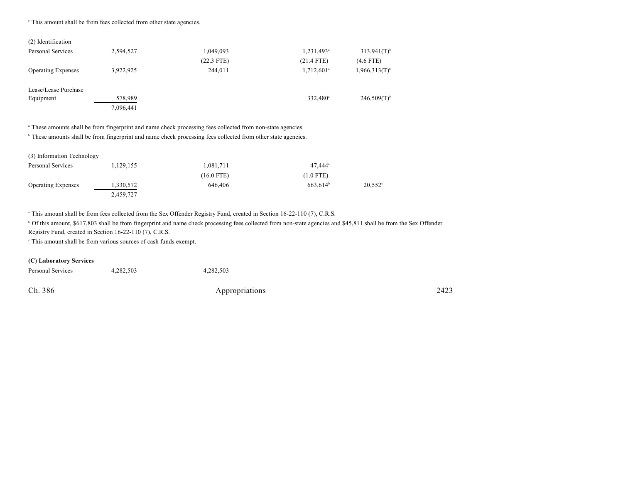<sup>c</sup> This amount shall be from fees collected from other state agencies.

| 2,594,527 | 1,049,093    | 1,231,493 <sup>a</sup>   | $313,941(T)$ <sup>b</sup>   |
|-----------|--------------|--------------------------|-----------------------------|
|           | $(22.3$ FTE) | $(21.4$ FTE)             | $(4.6$ FTE)                 |
| 3,922,925 | 244,011      | $1,712,601$ <sup>a</sup> | $1,966,313(T)$ <sup>b</sup> |
|           |              |                          |                             |
| 578,989   |              | 332.480 <sup>a</sup>     | $246,509(T)$ <sup>b</sup>   |
| 7,096,441 |              |                          |                             |
|           |              |                          |                             |

<sup>a</sup> These amounts shall be from fingerprint and name check processing fees collected from non-state agencies.

<sup>b</sup> These amounts shall be from fingerprint and name check processing fees collected from other state agencies.

| (3) Information Technology |           |              |                      |                  |
|----------------------------|-----------|--------------|----------------------|------------------|
| Personal Services          | 1,129,155 | 1,081,711    | $47.444^{\circ}$     |                  |
|                            |           | $(16.0$ FTE) | $(1.0$ FTE)          |                  |
| <b>Operating Expenses</b>  | 1,330,572 | 646,406      | 663.614 <sup>b</sup> | $20.552^{\circ}$ |
|                            | 2,459,727 |              |                      |                  |

<sup>a</sup> This amount shall be from fees collected from the Sex Offender Registry Fund, created in Section 16-22-110 (7), C.R.S.

<sup>b</sup> Of this amount, \$617,803 shall be from fingerprint and name check processing fees collected from non-state agencies and \$45,811 shall be from the Sex Offender Registry Fund, created in Section 16-22-110 (7), C.R.S.

 $\degree$  This amount shall be from various sources of cash funds exempt.

#### **(C) Laboratory Services**

| Personal Services | 4,282,503 | 4.282.503      |      |
|-------------------|-----------|----------------|------|
| Ch. 386           |           | Appropriations | 2423 |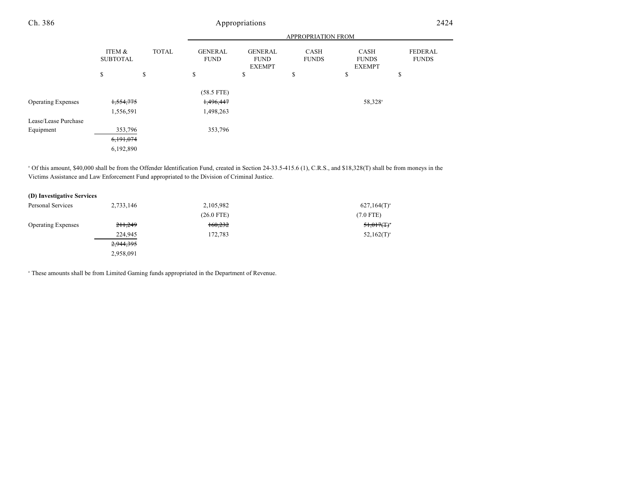|                           |                           |              | <b>APPROPRIATION FROM</b>     |                                                |                             |                                              |                                |  |
|---------------------------|---------------------------|--------------|-------------------------------|------------------------------------------------|-----------------------------|----------------------------------------------|--------------------------------|--|
|                           | ITEM &<br><b>SUBTOTAL</b> | <b>TOTAL</b> | <b>GENERAL</b><br><b>FUND</b> | <b>GENERAL</b><br><b>FUND</b><br><b>EXEMPT</b> | <b>CASH</b><br><b>FUNDS</b> | <b>CASH</b><br><b>FUNDS</b><br><b>EXEMPT</b> | <b>FEDERAL</b><br><b>FUNDS</b> |  |
|                           | \$                        | \$           | \$                            | \$                                             | \$                          | \$                                           | ch<br>Ф                        |  |
|                           |                           |              | $(58.5$ FTE)                  |                                                |                             |                                              |                                |  |
| <b>Operating Expenses</b> | 1,554,775                 |              | 1,496,447                     |                                                |                             | 58,328 <sup>a</sup>                          |                                |  |
|                           | 1,556,591                 |              | 1,498,263                     |                                                |                             |                                              |                                |  |
| Lease/Lease Purchase      |                           |              |                               |                                                |                             |                                              |                                |  |
| Equipment                 | 353,796                   |              | 353,796                       |                                                |                             |                                              |                                |  |
|                           | 6,191,074                 |              |                               |                                                |                             |                                              |                                |  |
|                           | 6,192,890                 |              |                               |                                                |                             |                                              |                                |  |

 $\degree$  Of this amount, \$40,000 shall be from the Offender Identification Fund, created in Section 24-33.5-415.6 (1), C.R.S., and \$18,328(T) shall be from moneys in the Victims Assistance and Law Enforcement Fund appropriated to the Division of Criminal Justice.

| (D) Investigative Services |                    |              |                           |
|----------------------------|--------------------|--------------|---------------------------|
| Personal Services          | 2,733,146          | 2,105,982    | $627,164(T)^{3}$          |
|                            |                    | $(26.0$ FTE) | $(7.0$ FTE)               |
| <b>Operating Expenses</b>  | <del>211,249</del> | 160,232      | $51,017($ T) <sup>*</sup> |
|                            | 224,945            | 172,783      | $52,162(T)^{a}$           |
|                            | 2,944,395          |              |                           |
|                            | 2,958,091          |              |                           |

<sup>a</sup> These amounts shall be from Limited Gaming funds appropriated in the Department of Revenue.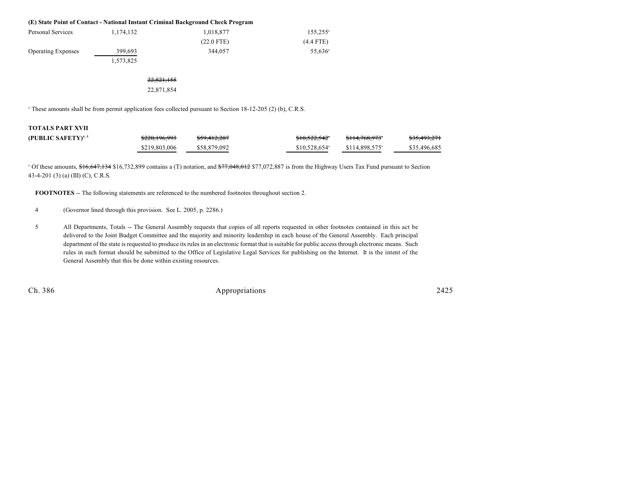|                           |           | (E) State Point of Contact - National Instant Criminal Background Check Program |                     |
|---------------------------|-----------|---------------------------------------------------------------------------------|---------------------|
| Personal Services         | 1,174,132 | 1,018,877                                                                       | $155,255^{\circ}$   |
|                           |           | $(22.0$ FTE)                                                                    | $(4.4$ FTE)         |
| <b>Operating Expenses</b> | 399,693   | 344,057                                                                         | 55.636 <sup>a</sup> |
|                           | 1,573,825 |                                                                                 |                     |
|                           |           |                                                                                 |                     |

22,821,155 22,871,854

<sup>a</sup> These amounts shall be from permit application fees collected pursuant to Section 18-12-205 (2) (b), C.R.S.

# **TOTALS PART XVII**

| (PUBLIC SAFETY) <sup>4, 5</sup> | \$220,196,993 | \$59,412,207 | <del>\$10,522,542</del> *  | <del>\$114.768.973</del> °  | <del>\$35,493,271</del> |
|---------------------------------|---------------|--------------|----------------------------|-----------------------------|-------------------------|
|                                 | \$219,803,006 | \$58,879,092 | $$10,528,654$ <sup>a</sup> | $$114.898.575$ <sup>a</sup> | \$35,496,685            |

<sup>a</sup> Of these amounts, \$16,647,134 \$16,732,899 contains a (T) notation, and \$77,048,012 \$77,072,887 is from the Highway Users Tax Fund pursuant to Section 43-4-201 (3) (a) (III) (C), C.R.S.

**FOOTNOTES** -- The following statements are referenced to the numbered footnotes throughout section 2.

- 4 (Governor lined through this provision. See L. 2005, p. 2286.)
- 5 All Departments, Totals -- The General Assembly requests that copies of all reports requested in other footnotes contained in this act be delivered to the Joint Budget Committee and the majority and minority leadership in each house of the General Assembly. Each principal department of the state is requested to produce its rules in an electronic format that is suitable for public access through electronic means. Such rules in such format should be submitted to the Office of Legislative Legal Services for publishing on the Internet. It is the intent of the General Assembly that this be done within existing resources.